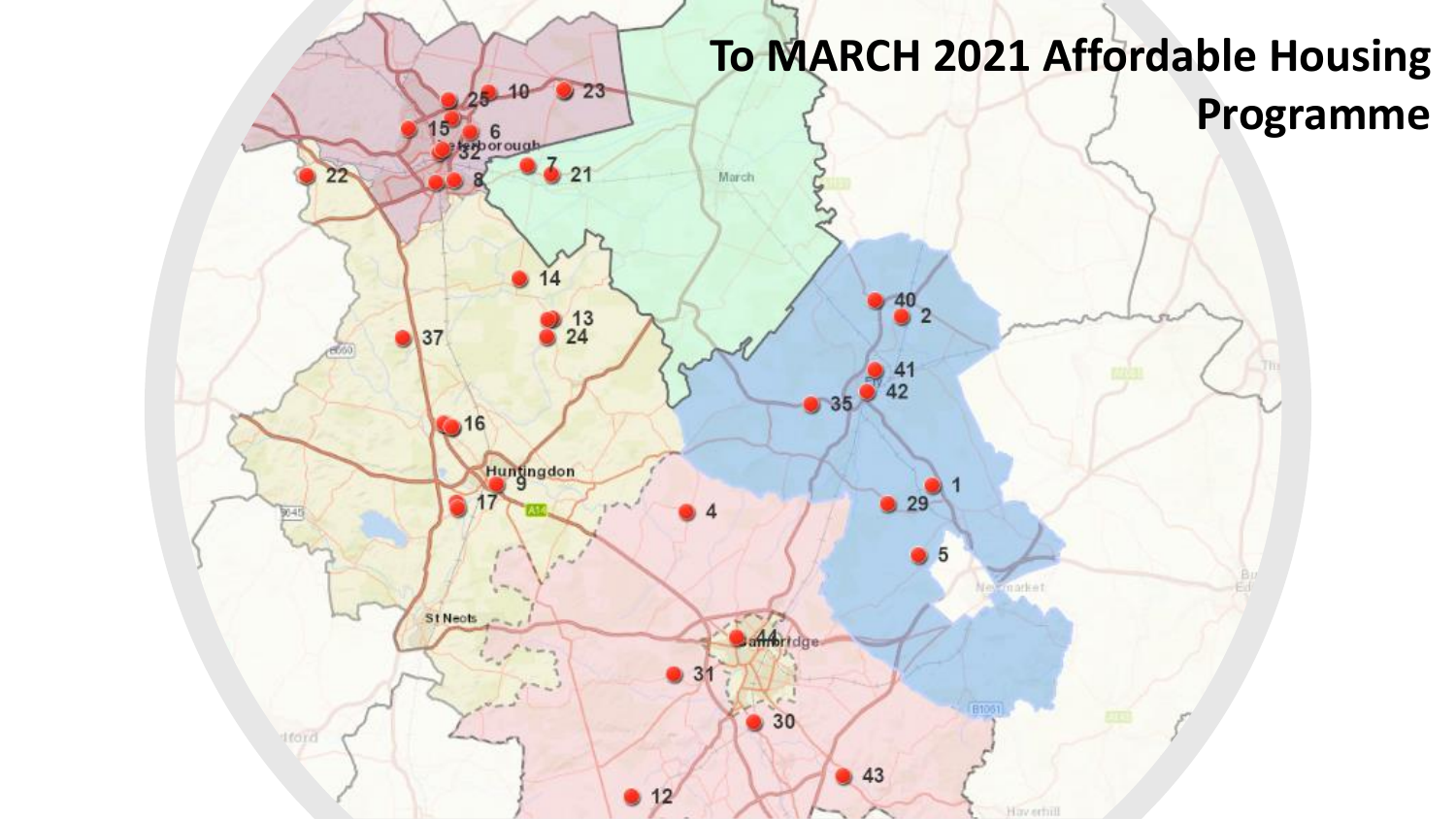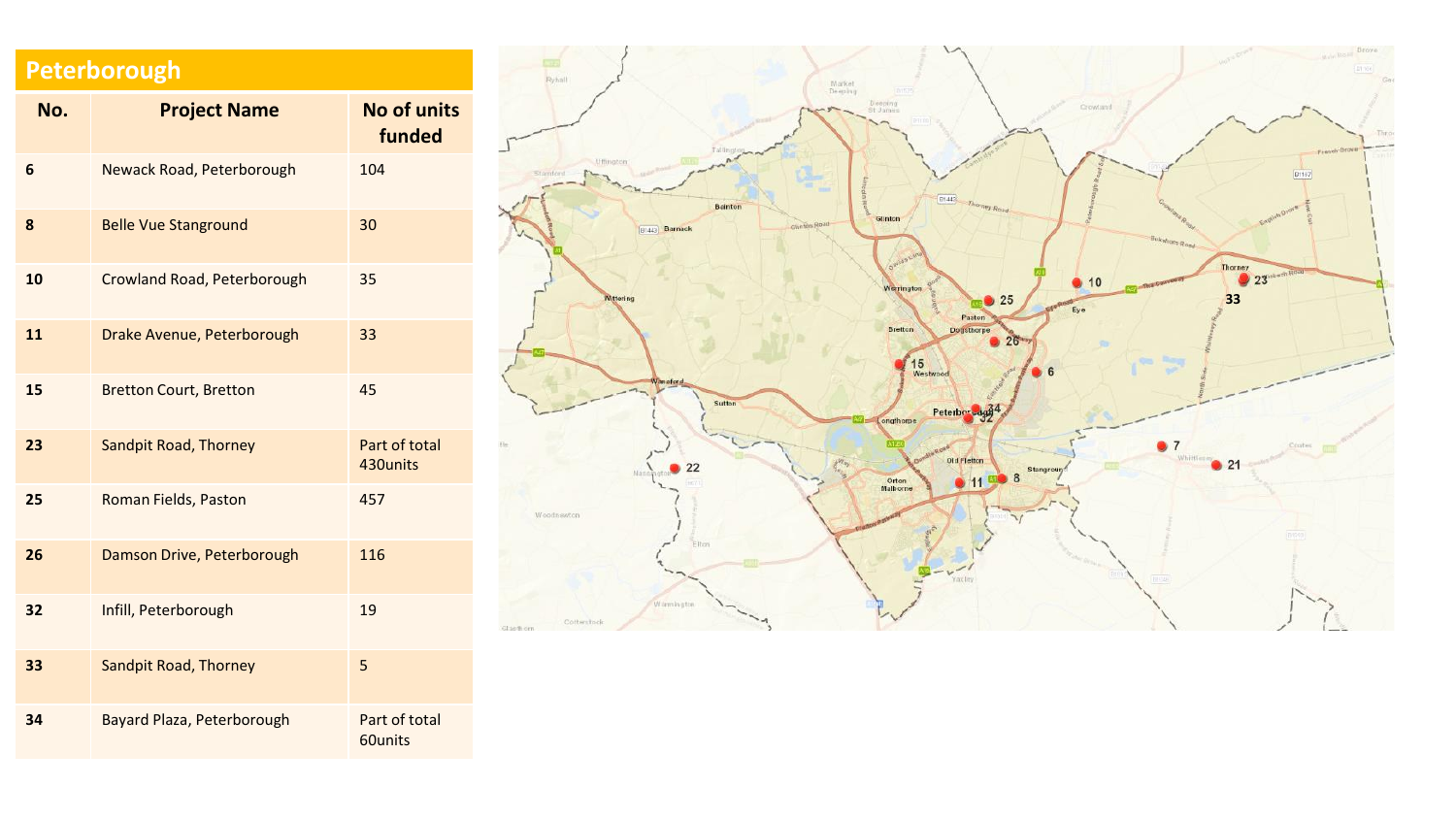## **Peterborough**

| No. | <b>Project Name</b>           | <b>No of units</b><br>funded |
|-----|-------------------------------|------------------------------|
| 6   | Newack Road, Peterborough     | 104                          |
| 8   | <b>Belle Vue Stanground</b>   | 30                           |
| 10  | Crowland Road, Peterborough   | 35                           |
| 11  | Drake Avenue, Peterborough    | 33                           |
| 15  | <b>Bretton Court, Bretton</b> | 45                           |
| 23  | <b>Sandpit Road, Thorney</b>  | Part of total<br>430units    |
| 25  | Roman Fields, Paston          | 457                          |
| 26  | Damson Drive, Peterborough    | 116                          |
| 32  | Infill, Peterborough          | 19                           |
| 33  | <b>Sandpit Road, Thorney</b>  | 5                            |
| 34  | Bayard Plaza, Peterborough    | Part of total<br>60units     |

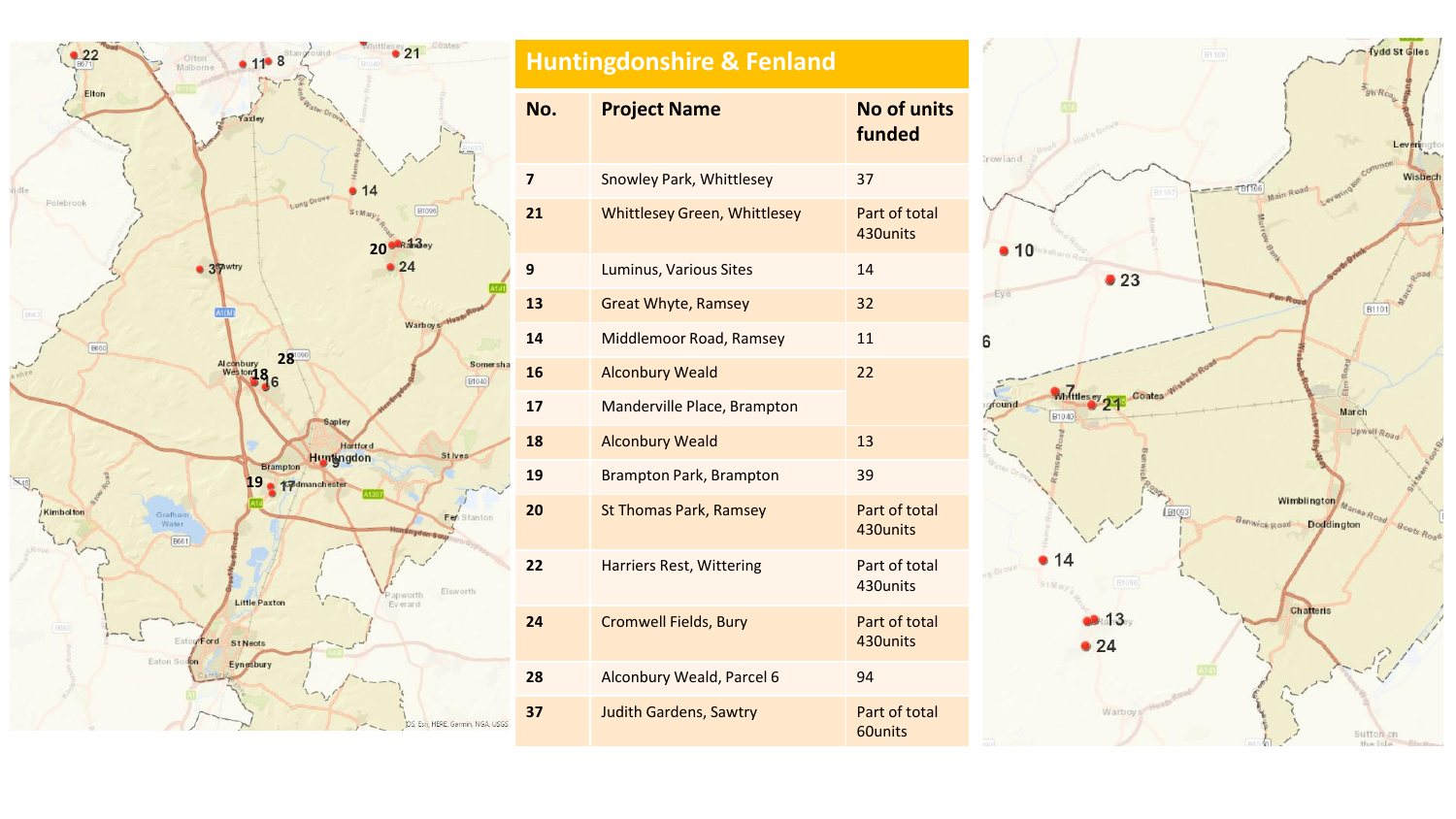

| <b>Huntingdonshire &amp; Fenland</b> |                                     |                              |  |  |
|--------------------------------------|-------------------------------------|------------------------------|--|--|
| No.                                  | <b>Project Name</b>                 | <b>No of units</b><br>funded |  |  |
| 7                                    | <b>Snowley Park, Whittlesey</b>     | 37                           |  |  |
| 21                                   | <b>Whittlesey Green, Whittlesey</b> | Part of total<br>430units    |  |  |
| 9                                    | <b>Luminus, Various Sites</b>       | 14                           |  |  |
| 13                                   | <b>Great Whyte, Ramsey</b>          | 32                           |  |  |
| 14                                   | Middlemoor Road, Ramsey             | 11                           |  |  |
| 16                                   | <b>Alconbury Weald</b>              | 22                           |  |  |
| 17                                   | Manderville Place, Brampton         |                              |  |  |
| 18                                   | <b>Alconbury Weald</b>              | 13                           |  |  |
| 19                                   | <b>Brampton Park, Brampton</b>      | 39                           |  |  |
| 20                                   | <b>St Thomas Park, Ramsey</b>       | Part of total<br>430units    |  |  |
| 22                                   | <b>Harriers Rest, Wittering</b>     | Part of total<br>430units    |  |  |
| 24                                   | <b>Cromwell Fields, Bury</b>        | Part of total<br>430units    |  |  |
| 28                                   | Alconbury Weald, Parcel 6           | 94                           |  |  |
| 37                                   | <b>Judith Gardens, Sawtry</b>       | Part of total<br>60units     |  |  |